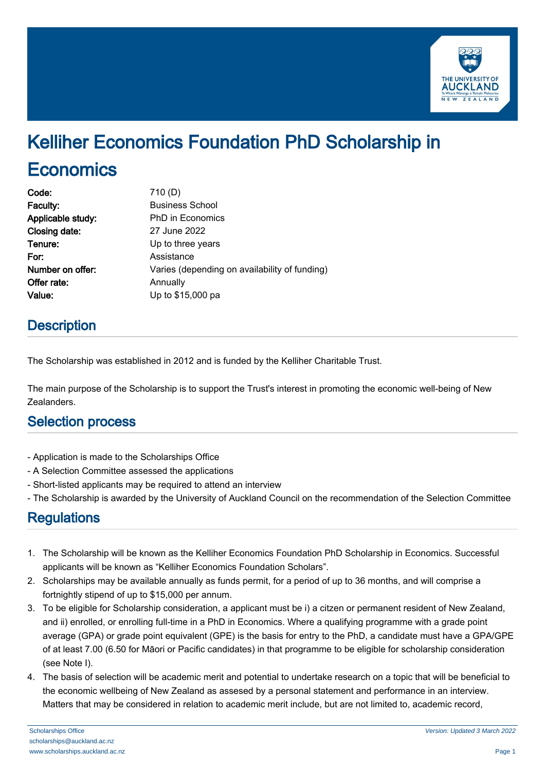

# Kelliher Economics Foundation PhD Scholarship in **Economics**

| Code:             | 710(D)                                        |
|-------------------|-----------------------------------------------|
| Faculty:          | <b>Business School</b>                        |
| Applicable study: | <b>PhD</b> in Economics                       |
| Closing date:     | 27 June 2022                                  |
| Tenure:           | Up to three years                             |
| For:              | Assistance                                    |
| Number on offer:  | Varies (depending on availability of funding) |
| Offer rate:       | Annually                                      |
| Value:            | Up to \$15,000 pa                             |
|                   |                                               |

## **Description**

The Scholarship was established in 2012 and is funded by the Kelliher Charitable Trust.

The main purpose of the Scholarship is to support the Trust's interest in promoting the economic well-being of New Zealanders.

## Selection process

- Application is made to the Scholarships Office
- A Selection Committee assessed the applications
- Short-listed applicants may be required to attend an interview
- The Scholarship is awarded by the University of Auckland Council on the recommendation of the Selection Committee

## **Regulations**

- 1. The Scholarship will be known as the Kelliher Economics Foundation PhD Scholarship in Economics. Successful applicants will be known as "Kelliher Economics Foundation Scholars".
- 2. Scholarships may be available annually as funds permit, for a period of up to 36 months, and will comprise a fortnightly stipend of up to \$15,000 per annum.
- 3. To be eligible for Scholarship consideration, a applicant must be i) a citzen or permanent resident of New Zealand, and ii) enrolled, or enrolling full-time in a PhD in Economics. Where a qualifying programme with a grade point average (GPA) or grade point equivalent (GPE) is the basis for entry to the PhD, a candidate must have a GPA/GPE of at least 7.00 (6.50 for Māori or Pacific candidates) in that programme to be eligible for scholarship consideration (see Note I).
- 4. The basis of selection will be academic merit and potential to undertake research on a topic that will be beneficial to the economic wellbeing of New Zealand as assesed by a personal statement and performance in an interview. Matters that may be considered in relation to academic merit include, but are not limited to, academic record,